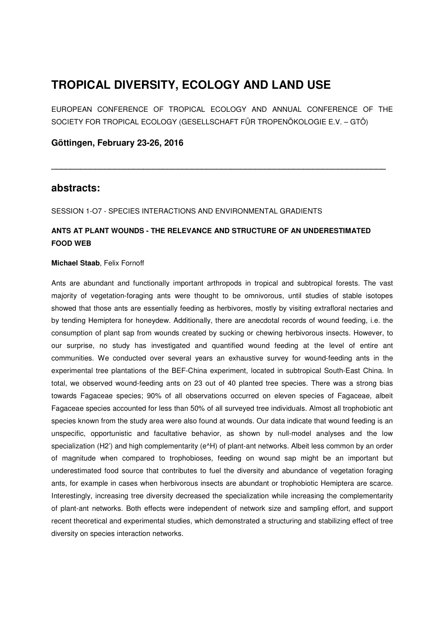# **TROPICAL DIVERSITY, ECOLOGY AND LAND USE**

EUROPEAN CONFERENCE OF TROPICAL ECOLOGY AND ANNUAL CONFERENCE OF THE SOCIETY FOR TROPICAL ECOLOGY (GESELLSCHAFT FÜR TROPENÖKOLOGIE E.V. – GTÖ)

**\_\_\_\_\_\_\_\_\_\_\_\_\_\_\_\_\_\_\_\_\_\_\_\_\_\_\_\_\_\_\_\_\_\_\_\_\_\_\_\_\_\_\_\_\_\_\_\_\_\_\_\_\_\_\_\_\_\_\_\_\_\_\_\_\_\_\_\_\_** 

### **Göttingen, February 23-26, 2016**

### **abstracts:**

SESSION 1-O7 - SPECIES INTERACTIONS AND ENVIRONMENTAL GRADIENTS

## **ANTS AT PLANT WOUNDS - THE RELEVANCE AND STRUCTURE OF AN UNDERESTIMATED FOOD WEB**

### **Michael Staab**, Felix Fornoff

Ants are abundant and functionally important arthropods in tropical and subtropical forests. The vast majority of vegetation-foraging ants were thought to be omnivorous, until studies of stable isotopes showed that those ants are essentially feeding as herbivores, mostly by visiting extrafloral nectaries and by tending Hemiptera for honeydew. Additionally, there are anecdotal records of wound feeding, i.e. the consumption of plant sap from wounds created by sucking or chewing herbivorous insects. However, to our surprise, no study has investigated and quantified wound feeding at the level of entire ant communities. We conducted over several years an exhaustive survey for wound-feeding ants in the experimental tree plantations of the BEF-China experiment, located in subtropical South-East China. In total, we observed wound-feeding ants on 23 out of 40 planted tree species. There was a strong bias towards Fagaceae species; 90% of all observations occurred on eleven species of Fagaceae, albeit Fagaceae species accounted for less than 50% of all surveyed tree individuals. Almost all trophobiotic ant species known from the study area were also found at wounds. Our data indicate that wound feeding is an unspecific, opportunistic and facultative behavior, as shown by null-model analyses and the low specialization (H2') and high complementarity (e^H) of plant-ant networks. Albeit less common by an order of magnitude when compared to trophobioses, feeding on wound sap might be an important but underestimated food source that contributes to fuel the diversity and abundance of vegetation foraging ants, for example in cases when herbivorous insects are abundant or trophobiotic Hemiptera are scarce. Interestingly, increasing tree diversity decreased the specialization while increasing the complementarity of plant-ant networks. Both effects were independent of network size and sampling effort, and support recent theoretical and experimental studies, which demonstrated a structuring and stabilizing effect of tree diversity on species interaction networks.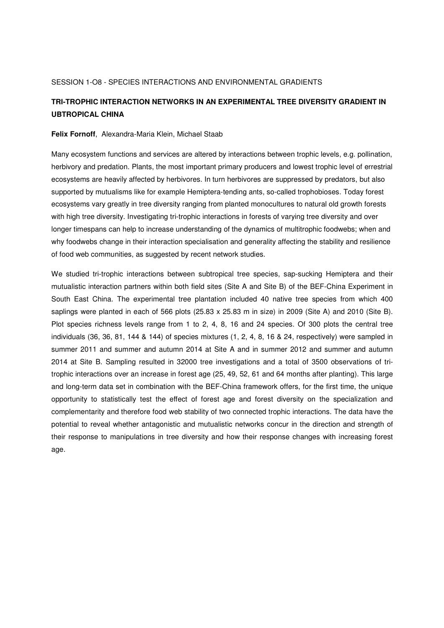### SESSION 1-O8 - SPECIES INTERACTIONS AND ENVIRONMENTAL GRADIENTS

### **TRI-TROPHIC INTERACTION NETWORKS IN AN EXPERIMENTAL TREE DIVERSITY GRADIENT IN UBTROPICAL CHINA**

#### **Felix Fornoff**, Alexandra-Maria Klein, Michael Staab

Many ecosystem functions and services are altered by interactions between trophic levels, e.g. pollination, herbivory and predation. Plants, the most important primary producers and lowest trophic level of errestrial ecosystems are heavily affected by herbivores. In turn herbivores are suppressed by predators, but also supported by mutualisms like for example Hemiptera-tending ants, so-called trophobioses. Today forest ecosystems vary greatly in tree diversity ranging from planted monocultures to natural old growth forests with high tree diversity. Investigating tri-trophic interactions in forests of varying tree diversity and over longer timespans can help to increase understanding of the dynamics of multitrophic foodwebs; when and why foodwebs change in their interaction specialisation and generality affecting the stability and resilience of food web communities, as suggested by recent network studies.

We studied tri-trophic interactions between subtropical tree species, sap-sucking Hemiptera and their mutualistic interaction partners within both field sites (Site A and Site B) of the BEF-China Experiment in South East China. The experimental tree plantation included 40 native tree species from which 400 saplings were planted in each of 566 plots (25.83 x 25.83 m in size) in 2009 (Site A) and 2010 (Site B). Plot species richness levels range from 1 to 2, 4, 8, 16 and 24 species. Of 300 plots the central tree individuals (36, 36, 81, 144 & 144) of species mixtures (1, 2, 4, 8, 16 & 24, respectively) were sampled in summer 2011 and summer and autumn 2014 at Site A and in summer 2012 and summer and autumn 2014 at Site B. Sampling resulted in 32000 tree investigations and a total of 3500 observations of tritrophic interactions over an increase in forest age (25, 49, 52, 61 and 64 months after planting). This large and long-term data set in combination with the BEF-China framework offers, for the first time, the unique opportunity to statistically test the effect of forest age and forest diversity on the specialization and complementarity and therefore food web stability of two connected trophic interactions. The data have the potential to reveal whether antagonistic and mutualistic networks concur in the direction and strength of their response to manipulations in tree diversity and how their response changes with increasing forest age.